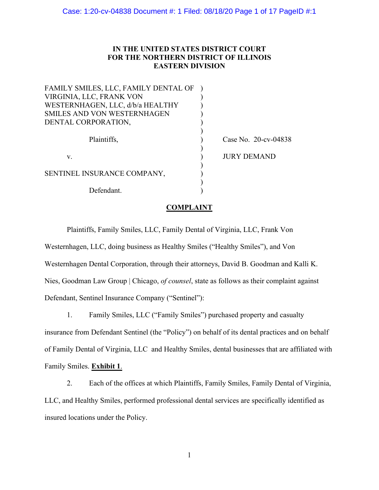# **IN THE UNITED STATES DISTRICT COURT FOR THE NORTHERN DISTRICT OF ILLINOIS EASTERN DIVISION**

| FAMILY SMILES, LLC, FAMILY DENTAL OF |                         |  |
|--------------------------------------|-------------------------|--|
| VIRGINIA, LLC, FRANK VON             |                         |  |
| WESTERNHAGEN, LLC, d/b/a HEALTHY     |                         |  |
| SMILES AND VON WESTERNHAGEN          |                         |  |
| DENTAL CORPORATION,                  |                         |  |
|                                      |                         |  |
| Plaintiffs,                          | Case No. $20$ -cv-04838 |  |
|                                      |                         |  |
| V.                                   | <b>JURY DEMAND</b>      |  |
|                                      |                         |  |
| SENTINEL INSURANCE COMPANY,          |                         |  |
|                                      |                         |  |
| Defendant.                           |                         |  |

## **COMPLAINT**

Plaintiffs, Family Smiles, LLC, Family Dental of Virginia, LLC, Frank Von Westernhagen, LLC, doing business as Healthy Smiles ("Healthy Smiles"), and Von Westernhagen Dental Corporation, through their attorneys, David B. Goodman and Kalli K. Nies, Goodman Law Group | Chicago, *of counsel*, state as follows as their complaint against Defendant, Sentinel Insurance Company ("Sentinel"):

1. Family Smiles, LLC ("Family Smiles") purchased property and casualty insurance from Defendant Sentinel (the "Policy") on behalf of its dental practices and on behalf of Family Dental of Virginia, LLC and Healthy Smiles, dental businesses that are affiliated with Family Smiles. **Exhibit 1**.

2. Each of the offices at which Plaintiffs, Family Smiles, Family Dental of Virginia, LLC, and Healthy Smiles, performed professional dental services are specifically identified as insured locations under the Policy.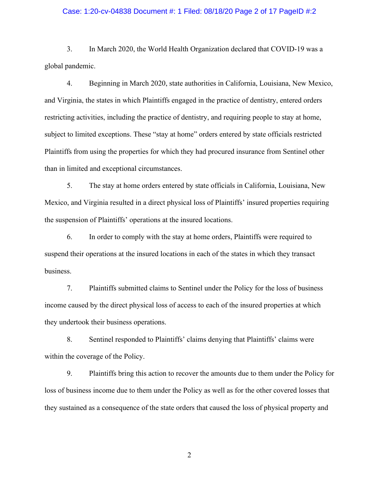### Case: 1:20-cv-04838 Document #: 1 Filed: 08/18/20 Page 2 of 17 PageID #:2

3. In March 2020, the World Health Organization declared that COVID-19 was a global pandemic.

4. Beginning in March 2020, state authorities in California, Louisiana, New Mexico, and Virginia, the states in which Plaintiffs engaged in the practice of dentistry, entered orders restricting activities, including the practice of dentistry, and requiring people to stay at home, subject to limited exceptions. These "stay at home" orders entered by state officials restricted Plaintiffs from using the properties for which they had procured insurance from Sentinel other than in limited and exceptional circumstances.

5. The stay at home orders entered by state officials in California, Louisiana, New Mexico, and Virginia resulted in a direct physical loss of Plaintiffs' insured properties requiring the suspension of Plaintiffs' operations at the insured locations.

6. In order to comply with the stay at home orders, Plaintiffs were required to suspend their operations at the insured locations in each of the states in which they transact business.

7. Plaintiffs submitted claims to Sentinel under the Policy for the loss of business income caused by the direct physical loss of access to each of the insured properties at which they undertook their business operations.

8. Sentinel responded to Plaintiffs' claims denying that Plaintiffs' claims were within the coverage of the Policy.

9. Plaintiffs bring this action to recover the amounts due to them under the Policy for loss of business income due to them under the Policy as well as for the other covered losses that they sustained as a consequence of the state orders that caused the loss of physical property and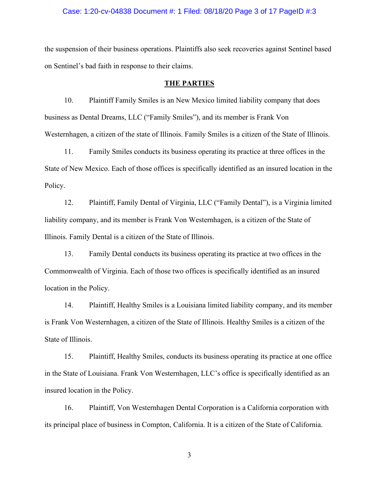### Case: 1:20-cv-04838 Document #: 1 Filed: 08/18/20 Page 3 of 17 PageID #:3

the suspension of their business operations. Plaintiffs also seek recoveries against Sentinel based on Sentinel's bad faith in response to their claims.

#### **THE PARTIES**

10. Plaintiff Family Smiles is an New Mexico limited liability company that does business as Dental Dreams, LLC ("Family Smiles"), and its member is Frank Von Westernhagen, a citizen of the state of Illinois. Family Smiles is a citizen of the State of Illinois.

11. Family Smiles conducts its business operating its practice at three offices in the State of New Mexico. Each of those offices is specifically identified as an insured location in the Policy.

12. Plaintiff, Family Dental of Virginia, LLC ("Family Dental"), is a Virginia limited liability company, and its member is Frank Von Westernhagen, is a citizen of the State of Illinois. Family Dental is a citizen of the State of Illinois.

13. Family Dental conducts its business operating its practice at two offices in the Commonwealth of Virginia. Each of those two offices is specifically identified as an insured location in the Policy.

14. Plaintiff, Healthy Smiles is a Louisiana limited liability company, and its member is Frank Von Westernhagen, a citizen of the State of Illinois. Healthy Smiles is a citizen of the State of Illinois.

15. Plaintiff, Healthy Smiles, conducts its business operating its practice at one office in the State of Louisiana. Frank Von Westernhagen, LLC's office is specifically identified as an insured location in the Policy.

16. Plaintiff, Von Westernhagen Dental Corporation is a California corporation with its principal place of business in Compton, California. It is a citizen of the State of California.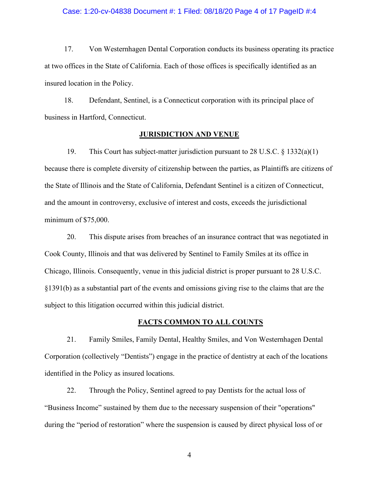#### Case: 1:20-cv-04838 Document #: 1 Filed: 08/18/20 Page 4 of 17 PageID #:4

17. Von Westernhagen Dental Corporation conducts its business operating its practice at two offices in the State of California. Each of those offices is specifically identified as an insured location in the Policy.

18. Defendant, Sentinel, is a Connecticut corporation with its principal place of business in Hartford, Connecticut.

## **JURISDICTION AND VENUE**

19. This Court has subject-matter jurisdiction pursuant to 28 U.S.C. § 1332(a)(1) because there is complete diversity of citizenship between the parties, as Plaintiffs are citizens of the State of Illinois and the State of California, Defendant Sentinel is a citizen of Connecticut, and the amount in controversy, exclusive of interest and costs, exceeds the jurisdictional minimum of \$75,000.

20. This dispute arises from breaches of an insurance contract that was negotiated in Cook County, Illinois and that was delivered by Sentinel to Family Smiles at its office in Chicago, Illinois. Consequently, venue in this judicial district is proper pursuant to 28 U.S.C. §1391(b) as a substantial part of the events and omissions giving rise to the claims that are the subject to this litigation occurred within this judicial district.

## **FACTS COMMON TO ALL COUNTS**

21. Family Smiles, Family Dental, Healthy Smiles, and Von Westernhagen Dental Corporation (collectively "Dentists") engage in the practice of dentistry at each of the locations identified in the Policy as insured locations.

22. Through the Policy, Sentinel agreed to pay Dentists for the actual loss of "Business Income" sustained by them due to the necessary suspension of their "operations" during the "period of restoration" where the suspension is caused by direct physical loss of or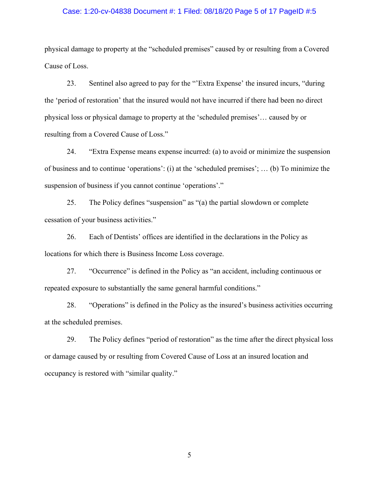#### Case: 1:20-cv-04838 Document #: 1 Filed: 08/18/20 Page 5 of 17 PageID #:5

physical damage to property at the "scheduled premises" caused by or resulting from a Covered Cause of Loss.

23. Sentinel also agreed to pay for the "'Extra Expense' the insured incurs, "during the 'period of restoration' that the insured would not have incurred if there had been no direct physical loss or physical damage to property at the 'scheduled premises'… caused by or resulting from a Covered Cause of Loss."

24. "Extra Expense means expense incurred: (a) to avoid or minimize the suspension of business and to continue 'operations': (i) at the 'scheduled premises'; … (b) To minimize the suspension of business if you cannot continue 'operations'."

25. The Policy defines "suspension" as "(a) the partial slowdown or complete cessation of your business activities."

26. Each of Dentists' offices are identified in the declarations in the Policy as locations for which there is Business Income Loss coverage.

27. "Occurrence" is defined in the Policy as "an accident, including continuous or repeated exposure to substantially the same general harmful conditions."

28. "Operations" is defined in the Policy as the insured's business activities occurring at the scheduled premises.

29. The Policy defines "period of restoration" as the time after the direct physical loss or damage caused by or resulting from Covered Cause of Loss at an insured location and occupancy is restored with "similar quality."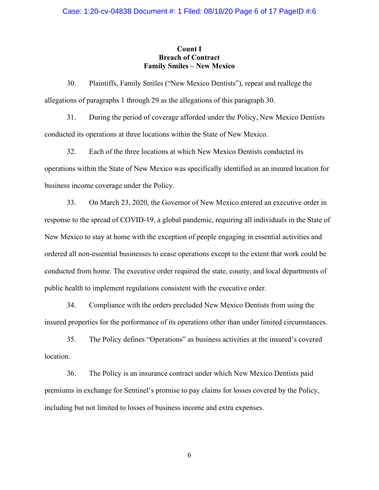## **Count I Breach of Contract Family Smiles – New Mexico**

30. Plaintiffs, Family Smiles ("New Mexico Dentists"), repeat and reallege the allegations of paragraphs 1 through 29 as the allegations of this paragraph 30.

31. During the period of coverage afforded under the Policy, New Mexico Dentists conducted its operations at three locations within the State of New Mexico.

32. Each of the three locations at which New Mexico Dentists conducted its operations within the State of New Mexico was specifically identified as an insured location for business income coverage under the Policy.

33. On March 23, 2020, the Governor of New Mexico entered an executive order in response to the spread of COVID-19, a global pandemic, requiring all individuals in the State of New Mexico to stay at home with the exception of people engaging in essential activities and ordered all non-essential businesses to cease operations except to the extent that work could be conducted from home. The executive order required the state, county, and local departments of public health to implement regulations consistent with the executive order.

34. Compliance with the orders precluded New Mexico Dentists from using the insured properties for the performance of its operations other than under limited circumstances.

35. The Policy defines "Operations" as business activities at the insured's covered location.

36. The Policy is an insurance contract under which New Mexico Dentists paid premiums in exchange for Sentinel's promise to pay claims for losses covered by the Policy, including but not limited to losses of business income and extra expenses.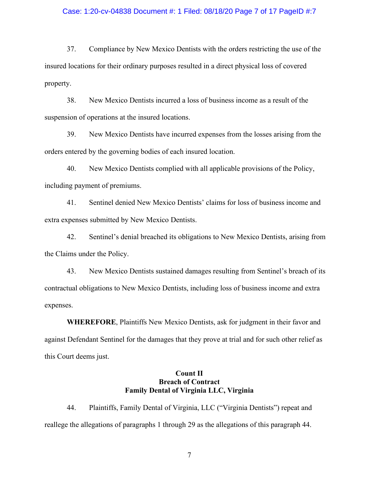#### Case: 1:20-cv-04838 Document #: 1 Filed: 08/18/20 Page 7 of 17 PageID #:7

37. Compliance by New Mexico Dentists with the orders restricting the use of the insured locations for their ordinary purposes resulted in a direct physical loss of covered property.

38. New Mexico Dentists incurred a loss of business income as a result of the suspension of operations at the insured locations.

39. New Mexico Dentists have incurred expenses from the losses arising from the orders entered by the governing bodies of each insured location.

40. New Mexico Dentists complied with all applicable provisions of the Policy, including payment of premiums.

41. Sentinel denied New Mexico Dentists' claims for loss of business income and extra expenses submitted by New Mexico Dentists.

42. Sentinel's denial breached its obligations to New Mexico Dentists, arising from the Claims under the Policy.

43. New Mexico Dentists sustained damages resulting from Sentinel's breach of its contractual obligations to New Mexico Dentists, including loss of business income and extra expenses.

**WHEREFORE**, Plaintiffs New Mexico Dentists, ask for judgment in their favor and against Defendant Sentinel for the damages that they prove at trial and for such other relief as this Court deems just.

# **Count II Breach of Contract Family Dental of Virginia LLC, Virginia**

44. Plaintiffs, Family Dental of Virginia, LLC ("Virginia Dentists") repeat and reallege the allegations of paragraphs 1 through 29 as the allegations of this paragraph 44.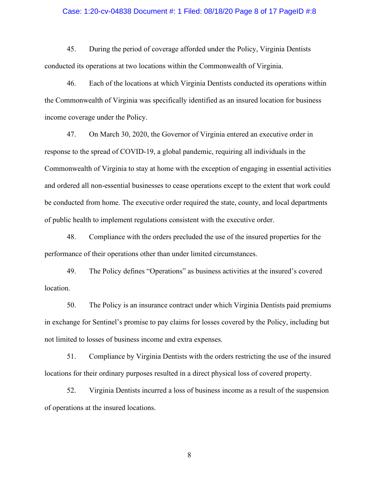#### Case: 1:20-cv-04838 Document #: 1 Filed: 08/18/20 Page 8 of 17 PageID #:8

45. During the period of coverage afforded under the Policy, Virginia Dentists conducted its operations at two locations within the Commonwealth of Virginia.

46. Each of the locations at which Virginia Dentists conducted its operations within the Commonwealth of Virginia was specifically identified as an insured location for business income coverage under the Policy.

47. On March 30, 2020, the Governor of Virginia entered an executive order in response to the spread of COVID-19, a global pandemic, requiring all individuals in the Commonwealth of Virginia to stay at home with the exception of engaging in essential activities and ordered all non-essential businesses to cease operations except to the extent that work could be conducted from home. The executive order required the state, county, and local departments of public health to implement regulations consistent with the executive order.

48. Compliance with the orders precluded the use of the insured properties for the performance of their operations other than under limited circumstances.

49. The Policy defines "Operations" as business activities at the insured's covered location.

50. The Policy is an insurance contract under which Virginia Dentists paid premiums in exchange for Sentinel's promise to pay claims for losses covered by the Policy, including but not limited to losses of business income and extra expenses.

51. Compliance by Virginia Dentists with the orders restricting the use of the insured locations for their ordinary purposes resulted in a direct physical loss of covered property.

52. Virginia Dentists incurred a loss of business income as a result of the suspension of operations at the insured locations.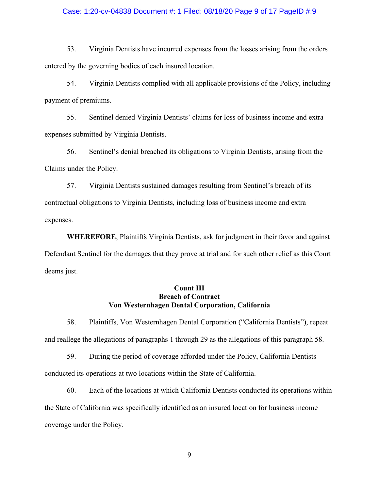### Case: 1:20-cv-04838 Document #: 1 Filed: 08/18/20 Page 9 of 17 PageID #:9

53. Virginia Dentists have incurred expenses from the losses arising from the orders entered by the governing bodies of each insured location.

54. Virginia Dentists complied with all applicable provisions of the Policy, including payment of premiums.

55. Sentinel denied Virginia Dentists' claims for loss of business income and extra expenses submitted by Virginia Dentists.

56. Sentinel's denial breached its obligations to Virginia Dentists, arising from the Claims under the Policy.

57. Virginia Dentists sustained damages resulting from Sentinel's breach of its contractual obligations to Virginia Dentists, including loss of business income and extra expenses.

**WHEREFORE**, Plaintiffs Virginia Dentists, ask for judgment in their favor and against Defendant Sentinel for the damages that they prove at trial and for such other relief as this Court deems just.

## **Count III Breach of Contract Von Westernhagen Dental Corporation, California**

58. Plaintiffs, Von Westernhagen Dental Corporation ("California Dentists"), repeat and reallege the allegations of paragraphs 1 through 29 as the allegations of this paragraph 58.

59. During the period of coverage afforded under the Policy, California Dentists conducted its operations at two locations within the State of California.

60. Each of the locations at which California Dentists conducted its operations within the State of California was specifically identified as an insured location for business income coverage under the Policy.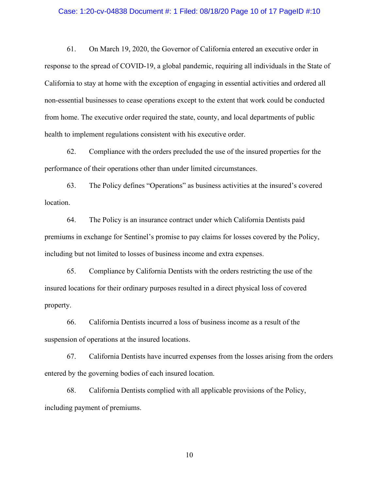#### Case: 1:20-cv-04838 Document #: 1 Filed: 08/18/20 Page 10 of 17 PageID #:10

61. On March 19, 2020, the Governor of California entered an executive order in response to the spread of COVID-19, a global pandemic, requiring all individuals in the State of California to stay at home with the exception of engaging in essential activities and ordered all non-essential businesses to cease operations except to the extent that work could be conducted from home. The executive order required the state, county, and local departments of public health to implement regulations consistent with his executive order.

62. Compliance with the orders precluded the use of the insured properties for the performance of their operations other than under limited circumstances.

63. The Policy defines "Operations" as business activities at the insured's covered location.

64. The Policy is an insurance contract under which California Dentists paid premiums in exchange for Sentinel's promise to pay claims for losses covered by the Policy, including but not limited to losses of business income and extra expenses.

65. Compliance by California Dentists with the orders restricting the use of the insured locations for their ordinary purposes resulted in a direct physical loss of covered property.

66. California Dentists incurred a loss of business income as a result of the suspension of operations at the insured locations.

67. California Dentists have incurred expenses from the losses arising from the orders entered by the governing bodies of each insured location.

68. California Dentists complied with all applicable provisions of the Policy, including payment of premiums.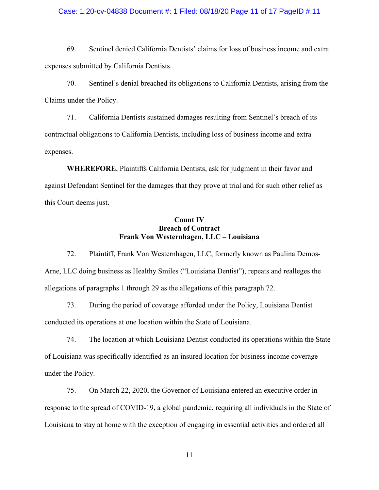### Case: 1:20-cv-04838 Document #: 1 Filed: 08/18/20 Page 11 of 17 PageID #:11

69. Sentinel denied California Dentists' claims for loss of business income and extra expenses submitted by California Dentists.

70. Sentinel's denial breached its obligations to California Dentists, arising from the Claims under the Policy.

71. California Dentists sustained damages resulting from Sentinel's breach of its contractual obligations to California Dentists, including loss of business income and extra expenses.

**WHEREFORE**, Plaintiffs California Dentists, ask for judgment in their favor and against Defendant Sentinel for the damages that they prove at trial and for such other relief as this Court deems just.

## **Count IV Breach of Contract Frank Von Westernhagen, LLC – Louisiana**

72. Plaintiff, Frank Von Westernhagen, LLC, formerly known as Paulina Demos-Arne, LLC doing business as Healthy Smiles ("Louisiana Dentist"), repeats and realleges the allegations of paragraphs 1 through 29 as the allegations of this paragraph 72.

73. During the period of coverage afforded under the Policy, Louisiana Dentist conducted its operations at one location within the State of Louisiana.

74. The location at which Louisiana Dentist conducted its operations within the State of Louisiana was specifically identified as an insured location for business income coverage under the Policy.

75. On March 22, 2020, the Governor of Louisiana entered an executive order in response to the spread of COVID-19, a global pandemic, requiring all individuals in the State of Louisiana to stay at home with the exception of engaging in essential activities and ordered all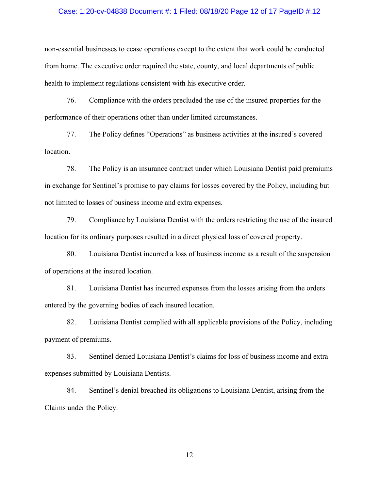#### Case: 1:20-cv-04838 Document #: 1 Filed: 08/18/20 Page 12 of 17 PageID #:12

non-essential businesses to cease operations except to the extent that work could be conducted from home. The executive order required the state, county, and local departments of public health to implement regulations consistent with his executive order.

76. Compliance with the orders precluded the use of the insured properties for the performance of their operations other than under limited circumstances.

77. The Policy defines "Operations" as business activities at the insured's covered location.

78. The Policy is an insurance contract under which Louisiana Dentist paid premiums in exchange for Sentinel's promise to pay claims for losses covered by the Policy, including but not limited to losses of business income and extra expenses.

79. Compliance by Louisiana Dentist with the orders restricting the use of the insured location for its ordinary purposes resulted in a direct physical loss of covered property.

80. Louisiana Dentist incurred a loss of business income as a result of the suspension of operations at the insured location.

81. Louisiana Dentist has incurred expenses from the losses arising from the orders entered by the governing bodies of each insured location.

82. Louisiana Dentist complied with all applicable provisions of the Policy, including payment of premiums.

83. Sentinel denied Louisiana Dentist's claims for loss of business income and extra expenses submitted by Louisiana Dentists.

84. Sentinel's denial breached its obligations to Louisiana Dentist, arising from the Claims under the Policy.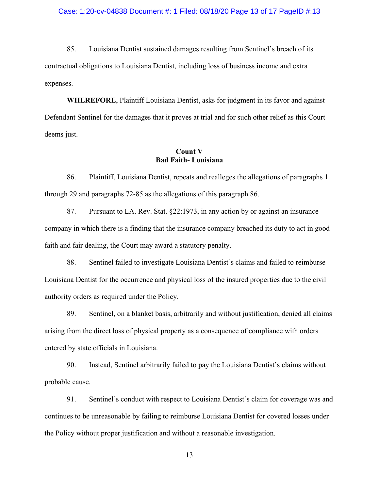#### Case: 1:20-cv-04838 Document #: 1 Filed: 08/18/20 Page 13 of 17 PageID #:13

85. Louisiana Dentist sustained damages resulting from Sentinel's breach of its contractual obligations to Louisiana Dentist, including loss of business income and extra expenses.

**WHEREFORE**, Plaintiff Louisiana Dentist, asks for judgment in its favor and against Defendant Sentinel for the damages that it proves at trial and for such other relief as this Court deems just.

# **Count V Bad Faith- Louisiana**

86. Plaintiff, Louisiana Dentist, repeats and realleges the allegations of paragraphs 1 through 29 and paragraphs 72-85 as the allegations of this paragraph 86.

87. Pursuant to LA. Rev. Stat. §22:1973, in any action by or against an insurance company in which there is a finding that the insurance company breached its duty to act in good faith and fair dealing, the Court may award a statutory penalty.

88. Sentinel failed to investigate Louisiana Dentist's claims and failed to reimburse Louisiana Dentist for the occurrence and physical loss of the insured properties due to the civil authority orders as required under the Policy.

89. Sentinel, on a blanket basis, arbitrarily and without justification, denied all claims arising from the direct loss of physical property as a consequence of compliance with orders entered by state officials in Louisiana.

90. Instead, Sentinel arbitrarily failed to pay the Louisiana Dentist's claims without probable cause.

91. Sentinel's conduct with respect to Louisiana Dentist's claim for coverage was and continues to be unreasonable by failing to reimburse Louisiana Dentist for covered losses under the Policy without proper justification and without a reasonable investigation.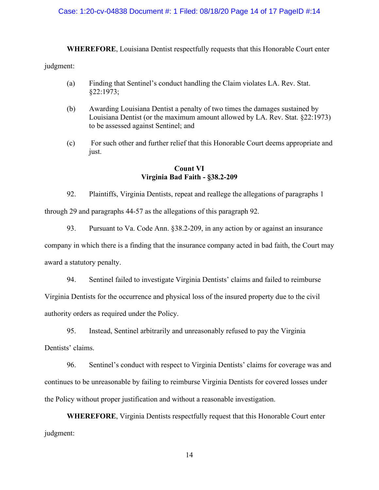## Case: 1:20-cv-04838 Document #: 1 Filed: 08/18/20 Page 14 of 17 PageID #:14

**WHEREFORE**, Louisiana Dentist respectfully requests that this Honorable Court enter judgment:

- (a) Finding that Sentinel's conduct handling the Claim violates LA. Rev. Stat. §22:1973;
- (b) Awarding Louisiana Dentist a penalty of two times the damages sustained by Louisiana Dentist (or the maximum amount allowed by LA. Rev. Stat. §22:1973) to be assessed against Sentinel; and
- (c) For such other and further relief that this Honorable Court deems appropriate and just.

# **Count VI Virginia Bad Faith - §38.2-209**

92. Plaintiffs, Virginia Dentists, repeat and reallege the allegations of paragraphs 1 through 29 and paragraphs 44-57 as the allegations of this paragraph 92.

93. Pursuant to Va. Code Ann. §38.2-209, in any action by or against an insurance

company in which there is a finding that the insurance company acted in bad faith, the Court may award a statutory penalty.

94. Sentinel failed to investigate Virginia Dentists' claims and failed to reimburse

Virginia Dentists for the occurrence and physical loss of the insured property due to the civil authority orders as required under the Policy.

95. Instead, Sentinel arbitrarily and unreasonably refused to pay the Virginia

Dentists' claims.

96. Sentinel's conduct with respect to Virginia Dentists' claims for coverage was and continues to be unreasonable by failing to reimburse Virginia Dentists for covered losses under the Policy without proper justification and without a reasonable investigation.

**WHEREFORE**, Virginia Dentists respectfully request that this Honorable Court enter judgment: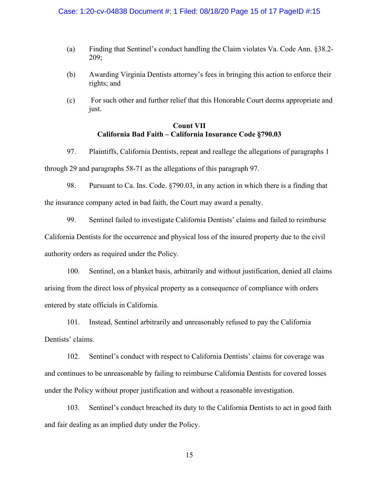### Case: 1:20-cv-04838 Document #: 1 Filed: 08/18/20 Page 15 of 17 PageID #:15

- (a) Finding that Sentinel's conduct handling the Claim violates Va. Code Ann. §38.2- 209;
- (b) Awarding Virginia Dentists attorney's fees in bringing this action to enforce their rights; and
- (c) For such other and further relief that this Honorable Court deems appropriate and just.

# **Count VII California Bad Faith – California Insurance Code §790.03**

97. Plaintiffs, California Dentists, repeat and reallege the allegations of paragraphs 1 through 29 and paragraphs 58-71 as the allegations of this paragraph 97.

98. Pursuant to Ca. Ins. Code. §790.03, in any action in which there is a finding that the insurance company acted in bad faith, the Court may award a penalty.

99. Sentinel failed to investigate California Dentists' claims and failed to reimburse California Dentists for the occurrence and physical loss of the insured property due to the civil authority orders as required under the Policy.

100. Sentinel, on a blanket basis, arbitrarily and without justification, denied all claims arising from the direct loss of physical property as a consequence of compliance with orders entered by state officials in California.

101. Instead, Sentinel arbitrarily and unreasonably refused to pay the California Dentists' claims.

102. Sentinel's conduct with respect to California Dentists' claims for coverage was and continues to be unreasonable by failing to reimburse California Dentists for covered losses under the Policy without proper justification and without a reasonable investigation.

103. Sentinel's conduct breached its duty to the California Dentists to act in good faith and fair dealing as an implied duty under the Policy.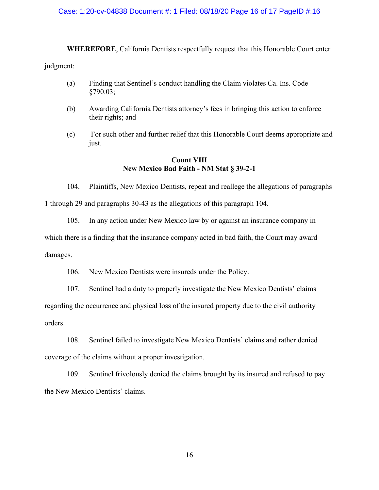### Case: 1:20-cv-04838 Document #: 1 Filed: 08/18/20 Page 16 of 17 PageID #:16

**WHEREFORE**, California Dentists respectfully request that this Honorable Court enter judgment:

- (a) Finding that Sentinel's conduct handling the Claim violates Ca. Ins. Code §790.03;
- (b) Awarding California Dentists attorney's fees in bringing this action to enforce their rights; and
- (c) For such other and further relief that this Honorable Court deems appropriate and just.

## **Count VIII New Mexico Bad Faith - NM Stat § 39-2-1**

104. Plaintiffs, New Mexico Dentists, repeat and reallege the allegations of paragraphs 1 through 29 and paragraphs 30-43 as the allegations of this paragraph 104.

105. In any action under New Mexico law by or against an insurance company in which there is a finding that the insurance company acted in bad faith, the Court may award damages.

106. New Mexico Dentists were insureds under the Policy.

107. Sentinel had a duty to properly investigate the New Mexico Dentists' claims regarding the occurrence and physical loss of the insured property due to the civil authority orders.

108. Sentinel failed to investigate New Mexico Dentists' claims and rather denied coverage of the claims without a proper investigation.

109. Sentinel frivolously denied the claims brought by its insured and refused to pay the New Mexico Dentists' claims.